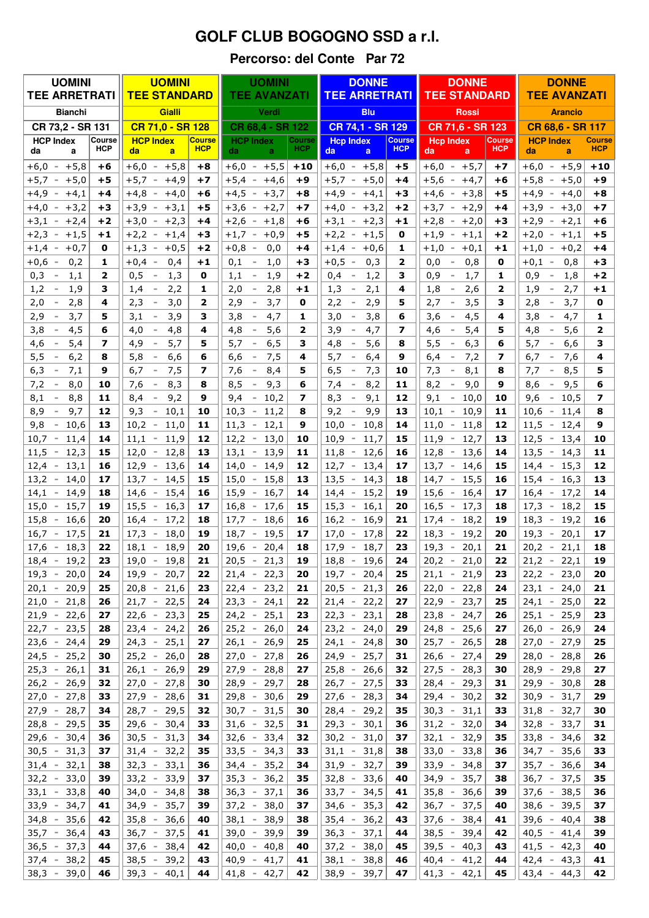## **GOLF CLUB BOGOGNO SSD a r.l.**

## Percorso: del Conte Par 72

| <b>UOMINI</b>                             |                      | <b>UOMINI</b>                                        |                             | <b>UOMINI</b>                                                                        |                      | <b>DONNE</b>                                                                       |                             | <b>DONNE</b>                                                       |                             | <b>DONNE</b>                                                          |                             |
|-------------------------------------------|----------------------|------------------------------------------------------|-----------------------------|--------------------------------------------------------------------------------------|----------------------|------------------------------------------------------------------------------------|-----------------------------|--------------------------------------------------------------------|-----------------------------|-----------------------------------------------------------------------|-----------------------------|
| <b>TEE ARRETRATI</b>                      |                      | <b>TEE STANDARD</b>                                  |                             | <b>TEE AVANZATI</b>                                                                  |                      | <b>TEE ARRETRATI</b>                                                               |                             | <b>TEE STANDARD</b>                                                |                             | <b>TEE AVANZATI</b>                                                   |                             |
| <b>Bianchi</b>                            |                      | Gialli                                               |                             | Verdi                                                                                |                      | <b>Blu</b>                                                                         |                             | <b>Rossi</b>                                                       |                             | <b>Arancio</b>                                                        |                             |
| CR 73,2 - SR 131                          |                      | CR 71,0 - SR 128                                     |                             | CR 68.4 - SR 122                                                                     |                      | CR 74,1 - SR 129                                                                   |                             | CR 71,6 - SR 123                                                   |                             | CR 68,6 - SR 117                                                      |                             |
| <b>HCP Index</b><br>da<br>a               | Course<br><b>HCP</b> | <b>HCP Index</b><br>da<br>a                          | <b>Course</b><br><b>HCP</b> | <b>HCP Index</b><br>da.<br>a                                                         | Course<br><b>HCP</b> | <b>Hcp Index</b><br>da<br>a                                                        | <b>Course</b><br><b>HCP</b> | <b>Hcp Index</b><br>da<br>a                                        | <b>Course</b><br><b>HCP</b> | <b>HCP Index</b><br>da<br>a                                           | <b>Course</b><br><b>HCP</b> |
| $+6,0$<br>$+5,8$<br>$\equiv$              | +6                   | $+6,0 -$<br>$+5,8$                                   | +8                          | $+6,0 - +5,5$                                                                        | $+10$                | $+6,0$<br>$+5,8$<br>$\sim$                                                         | $+5$                        | $+6,0$<br>$+5,7$<br>$\sim$                                         | $+7$                        | $+6,0$<br>$+5,9$<br>$\overline{\phantom{a}}$                          | $+10$                       |
| $+5,7$<br>$+5,0$<br>$\sim$                | $+5$                 | $+5,7 -$<br>$+4,9$                                   | +7                          | $+5,4$<br>$+4,6$<br>$\sim$                                                           | $+9$                 | $+5,7$<br>$+5,0$<br>$\sim$                                                         | +4                          | $+5,6$<br>$+4,7$<br>$\sim$                                         | +6                          | $+5,8$<br>$+5,0$<br>$\bar{~}$                                         | $+9$                        |
| $+4,9$<br>$+4,1$<br>$\sim$                | +4                   | $+4,8$<br>$+4,0$<br>$\sim$                           | $+6$                        | $+4,5$<br>$+3,7$<br>$\sim$                                                           | +8                   | $+4,9$<br>$+4,1$<br>$\sim$                                                         | +3                          | $+4,6 -$<br>$+3,8$                                                 | +5                          | $+4,9 -$<br>$+4,0$                                                    | $+8$                        |
| $+4,0$<br>$+3,2$<br>$\sim$                | $+3$                 | $+3,9$<br>$+3,1$<br>$\sim$                           | +5                          | $+3,6$<br>$+2,7$<br>$\sim$                                                           | $+7$                 | $+4,0$<br>$+3,2$<br>$\overline{\phantom{a}}$                                       | $+2$                        | $+3,7 -$<br>$+2,9$                                                 | +4                          | $+3,9 -$<br>$+3,0$                                                    | $+7$                        |
| $+3,1$<br>$+2,4$<br>$\sim$                | $+2$                 | $+2,3$<br>$+3,0$<br>$\hspace{0.1mm}-\hspace{0.1mm}$  | $+4$                        | $+2,6$<br>$+1,8$<br>$\sim$                                                           | +6                   | $+3,1$<br>$+2,3$<br>$\sim$                                                         | $+1$                        | $+2,8$<br>$+2,0$<br>$\overline{\phantom{a}}$                       | +3                          | $+2,1$<br>$+2,9$<br>$\overline{\phantom{a}}$                          | +6                          |
| $+2,3$<br>$+1,5$<br>$\sim$                | $+1$                 | $+2,2 -$<br>$+1,4$                                   | +3                          | $+1,7$<br>$+0,9$<br>$\sim$                                                           | +5                   | $+2,2$<br>$+1,5$<br>$\sim$                                                         | 0                           | $+1,9$<br>$+1,1$<br>$\sim$                                         | +2                          | $+2,0$<br>$+1,1$<br>$\overline{\phantom{a}}$                          | $+5$                        |
| $+1,4$<br>$+0,7$<br>$\sim$                | 0                    | $+0,5$<br>$+1,3$<br>$\sim$                           | +2                          | $+0,8$<br>0,0<br>$\overline{\phantom{a}}$                                            | $+4$                 | $+0,6$<br>$+1,4$<br>$\sim$                                                         | 1                           | $+1,0$<br>$+0,1$<br>$\overline{\phantom{a}}$                       | $\bf+1$                     | $+1,0$<br>$+0,2$<br>$\overline{\phantom{a}}$                          | $+4$                        |
| $+0,6$<br>0,2<br>$\overline{\phantom{a}}$ | 1                    | $+0,4 -$<br>0,4                                      | $+1$                        | 1,0<br>0,1                                                                           | +3                   | $+0,5$<br>0,3<br>$\sim$                                                            | $\overline{\mathbf{2}}$     | 0,8<br>0,0<br>$\overline{\phantom{a}}$                             | 0                           | $+0,1 -$<br>0,8                                                       | $+3$                        |
| 0,3<br>1,1<br>$\overline{\phantom{a}}$    | 2                    | 0,5<br>1,3<br>$\sim$                                 | 0                           | 1,9<br>1,1                                                                           | $+2$                 | 0,4<br>1,2<br>$\sim$                                                               | з                           | 0,9<br>1,7<br>$\overline{\phantom{a}}$                             | 1                           | 0,9<br>1,8<br>$\sim$                                                  | $+2$                        |
| 1,9<br>1,2<br>$\overline{\phantom{a}}$    | з                    | 1,4<br>2,2<br>$\sim$                                 | 1                           | 2,8<br>2,0<br>$\overline{\phantom{a}}$                                               | $+1$                 | 1,3<br>2,1<br>$\sim$                                                               | 4                           | 1,8<br>2,6<br>$\overline{\phantom{a}}$                             | 2                           | 1,9<br>2,7<br>$\sim$                                                  | $+1$                        |
| 2,8<br>2,0<br>$\overline{\phantom{a}}$    | 4                    | 3,0<br>2,3<br>$\hspace{0.1mm}-\hspace{0.1mm}$        | 2                           | 3,7<br>2,9                                                                           | 0                    | 2,2<br>2,9<br>$\sim$                                                               | 5                           | 2,7<br>3,5<br>$\overline{\phantom{a}}$                             | з                           | 2,8<br>3,7<br>$\sim$                                                  | 0                           |
| 2,9<br>3,7<br>$\sim$                      | 5                    | 3,9<br>3,1<br>$\equiv$                               | 3                           | 3,8<br>4,7<br>$\overline{\phantom{a}}$                                               | 1                    | 3,0<br>3,8<br>$\sim$                                                               | 6                           | 4,5<br>3,6<br>$\sim$                                               | 4                           | 3,8<br>4,7<br>$\sim$                                                  | 1                           |
| 3,8<br>4,5<br>$\overline{\phantom{a}}$    | 6                    | 4,8<br>4,0<br>$\sim$                                 | 4                           | 4,8<br>5,6                                                                           | $\mathbf{2}$         | 4,7<br>3,9<br>$\overline{\phantom{a}}$                                             | 7                           | 4,6<br>5,4<br>$\overline{\phantom{a}}$                             | 5                           | 4,8<br>5,6<br>$\,$                                                    | $\mathbf{2}$                |
| 4,6<br>5,4<br>$\overline{\phantom{a}}$    | 7                    | 4,9<br>5,7<br>$\sim$                                 | 5                           | 6, 5<br>5,7<br>$\bar{ }$                                                             | 3                    | 4,8<br>5,6<br>$\bar{ }$                                                            | 8                           | 5,5<br>6,3<br>$\overline{\phantom{a}}$                             | 6                           | 5,7<br>6,6<br>$\overline{\phantom{a}}$                                | 3                           |
| 5,5<br>6,2<br>$\overline{\phantom{a}}$    | 8                    | 5,8<br>6,6<br>$\overline{\phantom{a}}$               | 6                           | 6,6<br>7,5<br>$\overline{\phantom{0}}$                                               | 4                    | 5,7<br>6,4<br>$\overline{\phantom{a}}$                                             | 9                           | 6,4<br>$\overline{\phantom{a}}$<br>7,2                             | 7                           | 7,6<br>6,7<br>$\sim$                                                  | 4                           |
| 6,3<br>7,1<br>$\overline{\phantom{a}}$    | 9                    | 6,7<br>7,5<br>$\sim$                                 | 7                           | 7,6<br>8,4<br>$\overline{\phantom{a}}$                                               | 5                    | 6, 5<br>7,3<br>$\overline{\phantom{a}}$                                            | 10                          | 7,3<br>8,1<br>$\overline{\phantom{a}}$                             | 8                           | 8,5<br>7,7<br>$\overline{\phantom{a}}$                                | 5                           |
| 7,2<br>8,0<br>$\overline{\phantom{a}}$    | 10                   | 8,3<br>7,6<br>$\sim$                                 | 8                           | 8,5<br>9,3<br>$\overline{\phantom{a}}$                                               | 6                    | 8,2<br>7,4<br>$\overline{\phantom{a}}$                                             | 11                          | 8,2<br>9,0<br>$\overline{\phantom{a}}$                             | 9                           | 9,5<br>8,6                                                            | 6                           |
| 8,1<br>8,8<br>$\overline{\phantom{a}}$    | 11                   | 9,2<br>8,4<br>$\sim$                                 | 9                           | 9,4<br>10,2<br>$\overline{\phantom{a}}$                                              | 7                    | 8,3<br>9,1<br>$\overline{\phantom{a}}$                                             | 12                          | 9,1<br>10,0<br>$\sim$                                              | 10                          | 9,6<br>10,5<br>$\overline{\phantom{a}}$                               | $\overline{\phantom{a}}$    |
| 9,7<br>8,9<br>$\sim$                      | 12                   | 9,3<br>10,1<br>$\sim$                                | 10                          | 10,3<br>11,2<br>$\sim$                                                               | 8<br>9               | 9,2<br>9,9<br>$\overline{\phantom{a}}$<br>10,0<br>10,8<br>$\overline{\phantom{a}}$ | 13                          | $10,1 -$<br>10,9                                                   | 11                          | 10,6<br>11,4<br>$\sim$                                                | 8<br>9                      |
| $-10,6$<br>9,8<br>11,4<br>10,7<br>$\sim$  | 13<br>14             | 10,2<br>11,0<br>$\equiv$<br>11,9<br>11,1<br>$\equiv$ | 11<br>12                    | 11,3<br>$\overline{\phantom{a}}$<br>12,1<br>12,2<br>13,0<br>$\overline{\phantom{a}}$ | 10                   | 10,9<br>11,7<br>$\overline{\phantom{a}}$                                           | 14<br>15                    | 11,0<br>$\sim$<br>11,8<br>12,7<br>11,9<br>$\overline{\phantom{a}}$ | 12<br>13                    | 11,5<br>12,4<br>$\bar{~}$<br>12,5<br>13,4<br>$\overline{\phantom{a}}$ | 10                          |
| 12,3<br>11,5<br>$\sim$                    | 15                   | 12,8<br>12,0<br>$\bar{~}$                            | 13                          | 13,1<br>13,9<br>$\sim$                                                               | 11                   | 11,8<br>12,6<br>$\equiv$                                                           | 16                          | 12,8<br>13,6<br>$\sim$                                             | 14                          | $13,5 -$<br>14,3                                                      | 11                          |
| 12,4<br>13,1<br>$\sim$                    | 16                   | 13,6<br>12,9<br>$\sim$                               | 14                          | 14,0<br>14,9<br>$\overline{\phantom{a}}$                                             | 12                   | $12,7 -$<br>13,4                                                                   | 17                          | $13,7 -$<br>14,6                                                   | 15                          | 15,3<br>14,4<br>$\sim$                                                | 12                          |
| 13,2<br>14,0<br>$\sim$                    | 17                   | $13,7 -$<br>14,5                                     | 15                          | 15,0<br>15,8<br>$\overline{\phantom{a}}$                                             | 13                   | 13,5<br>14,3<br>$\sim$                                                             | 18                          | 15,5<br>$14,7 -$                                                   | 16                          | $15,4 -$<br>16,3                                                      | 13                          |
| 14,1<br>14,9<br>$\sim$                    | 18                   | 15,4<br>$14,6 -$                                     | 16                          | 15,9<br>16,7<br>$\sim$                                                               | 14                   | 14,4<br>15,2<br>$\sim$                                                             | 19                          | $15,6 -$<br>16,4                                                   | 17                          | $16,4 -$<br>17,2                                                      | 14                          |
| 15,0<br>15,7<br>$\overline{\phantom{a}}$  | 19                   | 15,5<br>16,3<br>$\overline{\phantom{a}}$             | 17                          | 16,8<br>17,6<br>$\overline{\phantom{a}}$                                             | 15                   | 15,3<br>16,1<br>$\sim$                                                             | 20                          | 17,3<br>16,5<br>$\sim$                                             | 18                          | $17,3 -$<br>18,2                                                      | 15                          |
| 15,8<br>16,6<br>$\overline{\phantom{a}}$  | 20                   | 16,4<br>17,2<br>$\sim$                               | 18                          | 17,7<br>18,6<br>$\sim$                                                               | 16                   | 16,2<br>16,9<br>$\equiv$                                                           | 21                          | 17,4<br>18,2<br>$\sim$                                             | 19                          | $18,3 -$<br>19,2                                                      | 16                          |
| 16,7<br>17,5<br>$\overline{\phantom{a}}$  | 21                   | $17,3 -$<br>18,0                                     | 19                          | 18,7<br>19,5<br>$\sim$                                                               | 17                   | 17,0<br>17,8<br>$\overline{\phantom{a}}$                                           | 22                          | 18,3<br>19,2<br>$\overline{\phantom{a}}$                           | 20                          | $19,3 -$<br>20,1                                                      | 17                          |
| 18,3<br>17,6<br>$\sim$                    | 22                   | $18,1 - 18,9$                                        | 20                          | 19,6<br>20,4<br>$\pm$                                                                | 18                   | 17,9<br>18,7<br>$\overline{\phantom{a}}$                                           | 23                          | $19,3 -$<br>20,1                                                   | 21                          | $20,2 -$<br>21,1                                                      | 18                          |
| 19,2<br>18,4                              | 23                   | $19,0 -$<br>19,8                                     | 21                          | $20,5 -$<br>21,3                                                                     | 19                   | 18,8<br>19,6                                                                       | 24                          | 20,2<br>21,0                                                       | 22                          | $21,2 -$<br>22,1                                                      | 19                          |
| $19,3 - 20,0$                             | 24                   | $19,9 - 20,7$                                        | 22                          | $21,4 - 22,3$                                                                        | 20                   | $19,7 - 20,4$                                                                      | 25                          | $21,1 - 21,9$                                                      | 23                          | $22,2 - 23,0$                                                         | 20                          |
| $20,1 - 20,9$                             | 25                   | $20,8 - 21,6$                                        | 23                          | $22,4 - 23,2$                                                                        | 21                   | $20,5 - 21,3$                                                                      | 26                          | $22,0 - 22,8$                                                      | 24                          | $23,1 - 24,0$                                                         | 21                          |
| $21,0 - 21,8$                             | 26                   | $21,7 - 22,5$                                        | 24                          | $23,3 - 24,1$                                                                        | 22                   | $21,4 - 22,2$                                                                      | 27                          | $22,9 - 23,7$                                                      | 25                          | $24,1 - 25,0$                                                         | 22                          |
| $21,9 - 22,6$                             | 27                   | $22,6 - 23,3$                                        | 25                          | $24,2 - 25,1$                                                                        | 23                   | $22,3 - 23,1$                                                                      | 28                          | $23,8 - 24,7$                                                      | 26                          | $25,1 - 25,9$                                                         | 23                          |
| $22,7 - 23,5$                             | 28                   | $23,4 - 24,2$                                        | 26                          | $25,2 - 26,0$                                                                        | 24                   | $23,2 - 24,0$                                                                      | 29                          | $24,8 - 25,6$                                                      | 27                          | $26,0 - 26,9$                                                         | 24                          |
| $23,6 - 24,4$                             | 29                   | $24,3 - 25,1$                                        | 27                          | $26,1 - 26,9$                                                                        | 25                   | $24,1 - 24,8$                                                                      | 30                          | $25,7 - 26,5$                                                      | 28                          | $27,0 - 27,9$                                                         | 25                          |
| $24,5 - 25,2$                             | 30                   | $25,2 - 26,0$                                        | 28                          | $27,0 - 27,8$                                                                        | 26                   | $24,9 - 25,7$                                                                      | 31                          | $26,6 - 27,4$                                                      | 29                          | $28,0 -$<br>28,8                                                      | 26                          |
| $25,3 - 26,1$                             | 31                   | $26,1 - 26,9$                                        | 29                          | $27,9 - 28,8$                                                                        | 27                   | $25,8 - 26,6$                                                                      | 32                          | $27,5 - 28,3$                                                      | 30                          | $28,9 - 29,8$                                                         | 27                          |
| $26,2 - 26,9$                             | 32                   | $27,0 - 27,8$                                        | 30                          | $28,9 - 29,7$                                                                        | 28                   | $26,7 - 27,5$                                                                      | 33                          | $28,4 - 29,3$                                                      | 31                          | $29,9 - 30,8$                                                         | 28                          |
| $27,0 - 27,8$                             | 33                   | $27,9 - 28,6$                                        | 31                          | $29,8 - 30,6$                                                                        | 29                   | $27,6 - 28,3$                                                                      | 34                          | $29,4 - 30,2$                                                      | 32                          | $30,9 - 31,7$                                                         | 29                          |
| $27,9 - 28,7$                             | 34                   | $28,7 - 29,5$                                        | 32                          | $30,7 - 31,5$                                                                        | 30                   | $28,4 - 29,2$                                                                      | 35                          | $30,3 - 31,1$                                                      | 33                          | $31,8 - 32,7$                                                         | 30                          |
| $28,8 - 29,5$                             | 35                   | $29,6 - 30,4$                                        | 33                          | $31,6 - 32,5$                                                                        | 31                   | $29,3 - 30,1$                                                                      | 36                          | $31,2 - 32,0$                                                      | 34                          | $32,8 - 33,7$                                                         | 31                          |
| $29,6 - 30,4$                             | 36                   | $30,5 - 31,3$                                        | 34                          | $32,6 - 33,4$                                                                        | 32                   | $30,2 - 31,0$                                                                      | 37                          | $32,1 - 32,9$                                                      | 35                          | $33,8 - 34,6$                                                         | 32                          |
| $30,5 - 31,3$                             | 37                   | $31,4 - 32,2$                                        | 35                          | $33,5 - 34,3$                                                                        | 33                   | $31,1 - 31,8$                                                                      | 38                          | $33,0 - 33,8$                                                      | 36                          | $34,7 - 35,6$                                                         | 33                          |
| $31,4 - 32,1$                             | 38                   | $32,3 - 33,1$                                        | 36                          | $34,4 - 35,2$                                                                        | 34                   | $31,9 - 32,7$<br>$32,8 - 33,6$                                                     | 39                          | $33,9 - 34,8$                                                      | 37                          | $35,7 - 36,6$                                                         | 34                          |
| $32,2 - 33,0$<br>$33,1 - 33,8$            | 39<br>40             | $33,2 - 33,9$<br>$34,0 - 34,8$                       | 37<br>38                    | $35,3 - 36,2$<br>$36,3 - 37,1$                                                       | 35<br>36             | $33,7 - 34,5$                                                                      | 40<br>41                    | $34,9 - 35,7$<br>$35,8 - 36,6$                                     | 38<br>39                    | $36,7 - 37,5$<br>$37,6 - 38,5$                                        | 35<br>36                    |
| $33,9 - 34,7$                             | 41                   | $34,9 - 35,7$                                        | 39                          | $37,2 - 38,0$                                                                        | 37                   | $34,6 - 35,3$                                                                      | 42                          | $36,7 - 37,5$                                                      | 40                          | 38,6 -<br>39,5                                                        | 37                          |
| $34,8 - 35,6$                             | 42                   | $35,8 - 36,6$                                        | 40                          | $38,1 - 38,9$                                                                        | 38                   | $35,4 - 36,2$                                                                      | 43                          | $37,6 - 38,4$                                                      | 41                          | $39,6 - 40,4$                                                         | 38                          |
| $35,7 - 36,4$                             | 43                   | $36,7 - 37,5$                                        | 41                          | $39,0 - 39,9$                                                                        | 39                   | $36,3 - 37,1$                                                                      | 44                          | $38,5 - 39,4$                                                      | 42                          | $40,5 - 41,4$                                                         | 39                          |
| $36,5 - 37,3$                             | 44                   | $37,6 - 38,4$                                        | 42                          | $40,0 - 40,8$                                                                        | 40                   | $37,2 - 38,0$                                                                      | 45                          | $39,5 - 40,3$                                                      | 43                          | $41,5 - 42,3$                                                         | 40                          |
| $37,4 - 38,2$                             | 45                   | $38,5 - 39,2$                                        | 43                          | $40,9 - 41,7$                                                                        | 41                   | $38,1 - 38,8$                                                                      | 46                          | $40,4 - 41,2$                                                      | 44                          | $42,4 - 43,3$                                                         | 41                          |
| $38,3 - 39,0$                             | 46                   | $39,3 - 40,1$                                        | 44                          | $41,8 - 42,7$                                                                        | 42                   | $38,9 - 39,7$                                                                      | 47                          | $41,3 - 42,1$                                                      | 45                          | $43,4 - 44,3$                                                         | 42                          |